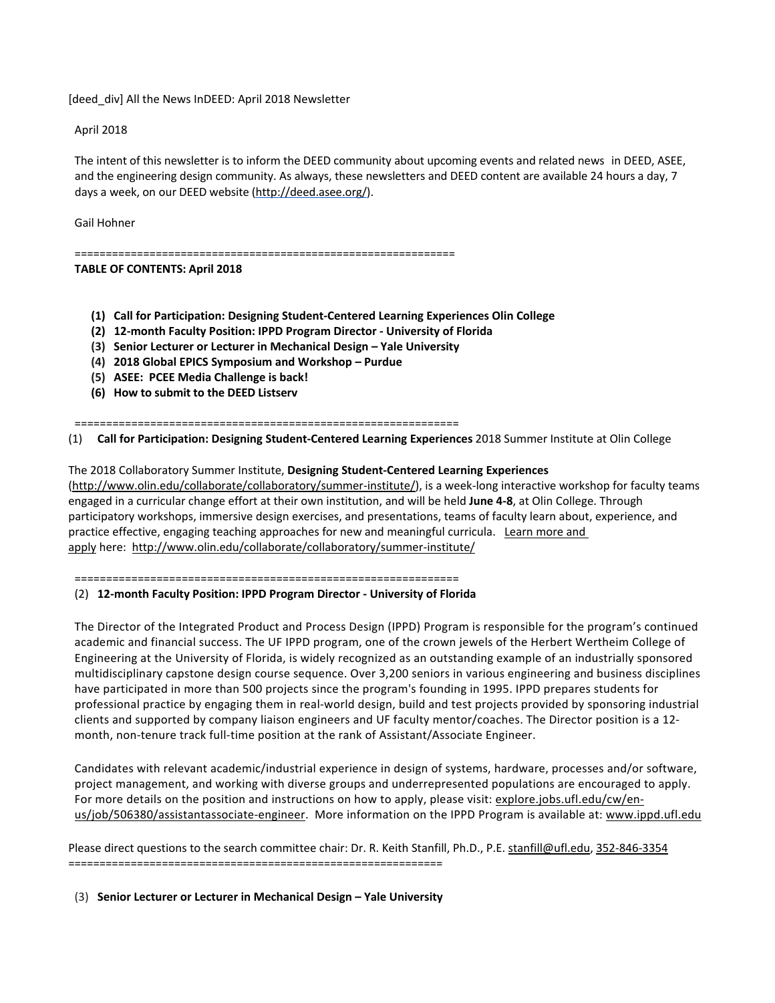[deed\_div] All the News InDEED: April 2018 Newsletter

April 2018

The intent of this newsletter is to inform the DEED community about upcoming events and related news in DEED, ASEE, and the engineering design community. As always, these newsletters and DEED content are available 24 hours a day, 7 days a week, on our DEED website [\(http://deed.asee.org/\)](http://deed.asee.org/).

Gail Hohner

=============================================================

**TABLE OF CONTENTS: April 2018**

- **(1) Call for Participation: Designing Student-Centered Learning Experiences Olin College**
- **(2) 12-month Faculty Position: IPPD Program Director - University of Florida**
- **(3) Senior Lecturer or Lecturer in Mechanical Design – Yale University**
- **(4) 2018 Global EPICS Symposium and Workshop – Purdue**
- **(5) ASEE: PCEE Media Challenge is back!**
- **(6) How to submit to the DEED Listserv**

=============================================================

(1) **Call for Participation: Designing Student-Centered Learning Experiences** 2018 Summer Institute at Olin College

The 2018 Collaboratory Summer Institute, **Designing Student-Centered Learning Experiences** 

[\(http://www.olin.edu/collaborate/collaboratory/summer-institute/\)](http://www.olin.edu/collaborate/collaboratory/summer-institute/), is a week-long interactive workshop for faculty teams engaged in a curricular change effort at their own institution, and will be held **June 4-8**, at Olin College. Through participatory workshops, immersive design exercises, and presentations, teams of faculty learn about, experience, and practice effective, engaging teaching approaches for new and meaningful curricula. [Learn more and](http://www.olin.edu/collaborate/collaboratory/summer-institute/)  [apply](http://www.olin.edu/collaborate/collaboratory/summer-institute/) here:<http://www.olin.edu/collaborate/collaboratory/summer-institute/>

=============================================================

## (2) **12-month Faculty Position: IPPD Program Director - University of Florida**

The Director of the Integrated Product and Process Design (IPPD) Program is responsible for the program's continued academic and financial success. The UF IPPD program, one of the crown jewels of the Herbert Wertheim College of Engineering at the University of Florida, is widely recognized as an outstanding example of an industrially sponsored multidisciplinary capstone design course sequence. Over 3,200 seniors in various engineering and business disciplines have participated in more than 500 projects since the program's founding in 1995. IPPD prepares students for professional practice by engaging them in real-world design, build and test projects provided by sponsoring industrial clients and supported by company liaison engineers and UF faculty mentor/coaches. The Director position is a 12 month, non-tenure track full-time position at the rank of Assistant/Associate Engineer.

Candidates with relevant academic/industrial experience in design of systems, hardware, processes and/or software, project management, and working with diverse groups and underrepresented populations are encouraged to apply. For more details on the position and instructions on how to apply, please visit: [explore.jobs.ufl.edu/cw/en](http://explore.jobs.ufl.edu/cw/en-us/job/506380/assistantassociate-engineer)[us/job/506380/assistantassociate-engineer.](http://explore.jobs.ufl.edu/cw/en-us/job/506380/assistantassociate-engineer) More information on the IPPD Program is available at: [www.ippd.ufl.edu](http://www.ippd.ufl.edu/)

Please direct questions to the search committee chair: Dr. R. Keith Stanfill, Ph.D., P.E. [stanfill@ufl.edu,](mailto:stanfill@ufl.edu) [352-846-3354](tel:(352)%20846-3354) ============================================================

(3) **Senior Lecturer or Lecturer in Mechanical Design – Yale University**